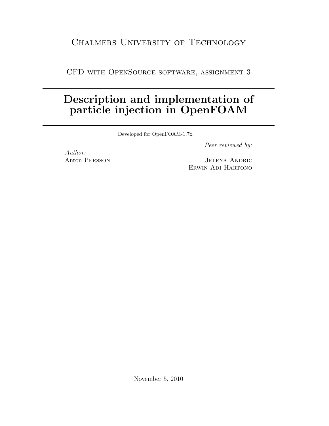## CHALMERS UNIVERSITY OF TECHNOLOGY

CFD with OpenSource software, assignment 3

## Description and implementation of particle injection in OpenFOAM

Developed for OpenFOAM-1.7x

Peer reviewed by:

Author: Anton Persson

Jelena Andric Erwin Adi Hartono

November 5, 2010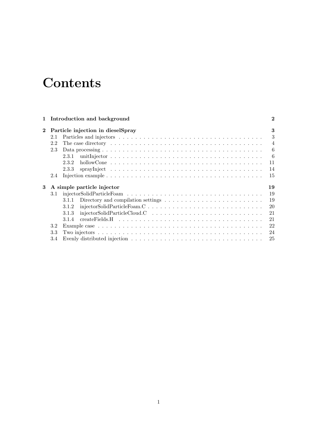# **Contents**

|              | 1 Introduction and background                                                                       | $\bf{2}$       |
|--------------|-----------------------------------------------------------------------------------------------------|----------------|
| $\mathbf{2}$ | Particle injection in dieselSpray                                                                   | 3              |
|              | 2.1                                                                                                 | 3              |
|              | 2.2                                                                                                 | $\overline{4}$ |
|              | 2.3                                                                                                 | 6              |
|              | 2.3.1                                                                                               | -6             |
|              | 2.3.2                                                                                               | 11             |
|              | 2.3.3                                                                                               | 14             |
|              | 2.4                                                                                                 | 15             |
| 3            | A simple particle injector                                                                          | 19             |
|              | 3.1                                                                                                 | 19             |
|              | Directory and compilation settings $\dots \dots \dots \dots \dots \dots \dots \dots \dots$<br>3.1.1 | 19             |
|              | 3.1.2                                                                                               | 20             |
|              | $injector SolidParticleCloud.C \t \t \t \t \t \t \t \t$<br>3.1.3                                    | 21             |
|              | 3.1.4                                                                                               | 21             |
|              | 3.2                                                                                                 | 22             |
|              | 3.3                                                                                                 | 24             |
|              | 3.4                                                                                                 | 25             |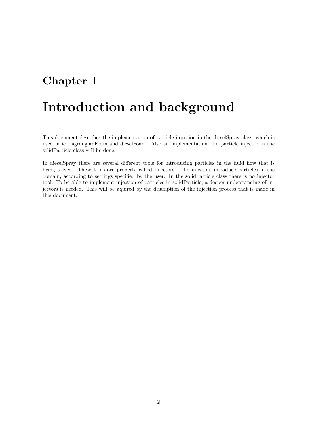## Chapter 1

# Introduction and background

This document describes the implementation of particle injection in the dieselSpray class, which is used in icoLagrangianFoam and dieselFoam. Also an implementation of a particle injector in the solidParticle class will be done.

In dieselSpray there are several different tools for introducing particles in the fluid flow that is being solved. These tools are properly called injectors. The injectors introduce particles in the domain, according to settings specified by the user. In the solidParticle class there is no injector tool. To be able to implement injection of particles in solidParticle, a deeper understanding of injectors is needed. This will be aquired by the description of the injection process that is made in this document.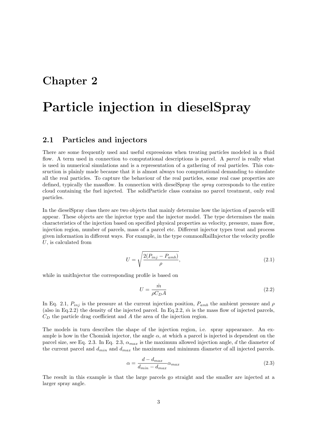## Chapter 2

# Particle injection in dieselSpray

### 2.1 Particles and injectors

There are some frequently used and useful expressions when treating particles modeled in a fluid flow. A term used in connection to computational descriptions is parcel. A parcel is really what is used in numerical simulations and is a representation of a gathering of real particles. This consruction is plainly made because that it is almost always too computational demanding to simulate all the real particles. To capture the behaviour of the real particles, some real case properties are defined, typically the massflow. In connection with diesels pray the spray corresponds to the entire cloud containing the fuel injected. The solidParticle class contains no parcel treatment, only real particles.

In the dieselSpray class there are two objects that mainly determine how the injection of parcels will appear. These objects are the injector type and the injector model. The type determines the main characteristics of the injection based on specified physical properties as velocity, pressure, mass flow, injection region, number of parcels, mass of a parcel etc. Different injector types treat and process given information in different ways. For example, in the type commonRailInjector the velocity profile  $U$ , is calculated from

$$
U = \sqrt{\frac{2(P_{inj} - P_{amb})}{\rho}},\tag{2.1}
$$

while in unitInjector the corresponding profile is based on

$$
U = \frac{\dot{m}}{\rho C_D A} \tag{2.2}
$$

In Eq. 2.1,  $P_{inj}$  is the pressure at the current injection position,  $P_{amb}$  the ambient pressure and  $\rho$ (also in Eq.2.2) the density of the injected parcel. In Eq.2.2,  $\dot{m}$  is the mass flow of injected parcels,  $C<sub>D</sub>$  the particle drag coefficient and A the area of the injection region.

The models in turn describes the shape of the injection region, i.e. spray appearance. An example is how in the Chomiak injector, the angle  $\alpha$ , at which a parcel is injected is dependent on the parcel size, see Eq. 2.3. In Eq. 2.3,  $\alpha_{max}$  is the maximum allowed injection angle, d the diameter of the current parcel and  $d_{min}$  and  $d_{max}$  the maximum and minimum diameter of all injected parcels.

$$
\alpha = \frac{d - d_{max}}{d_{min} - d_{max}} \alpha_{max} \tag{2.3}
$$

The result in this example is that the large parcels go straight and the smaller are injected at a larger spray angle.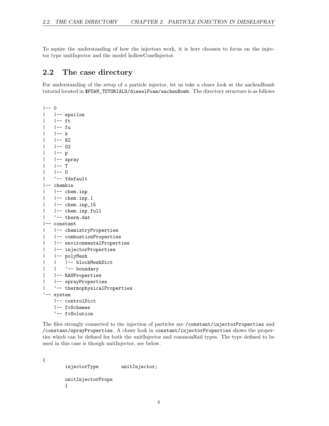To aquire the understanding of how the injectors work, it is here choosen to focus on the injector type unitInjector and the model hollowConeInjector.

## 2.2 The case directory

For understanding of the setup of a particle injector, let us take a closer look at the aachenBomb tutorial located in \$FOAM\_TUTORIALS/dieselFoam/aachenBomb. The directory structure is as follows

```
| - - 0| |-- epsilon
| |-- ft
| |-- fu
   | -- k| - - N2| |-- O2
   | -- p| |-- spray
   | -- T| -- U
   | '-- Ydefault
|-- chemkin
| |-- chem.inp
| |-- chem.inp.1
   | |-- chem.inp_15
| |-- chem.inp.full
| '-- therm.dat
|-- constant
| |-- chemistryProperties
| |-- combustionProperties
| |-- environmentalProperties
| |-- injectorProperties
| |-- polyMesh
| | |-- blockMeshDict
| | '-- boundary
| |-- RASProperties
| |-- sprayProperties
   | '-- thermophysicalProperties
'-- system
   |-- controlDict
   |-- fvSchemes
   '-- fvSolution
```
The files strongly connected to the injection of particles are /constant/injectorProperties and /constant/sprayProperties. A closer look in constant/injectorProperties shows the properties which can be defined for both the unitInjector and commonRail types. The type defined to be used in this case is though unitInjector, see below.

```
injectorType unitInjector;
unitInjectorProps
{
```
{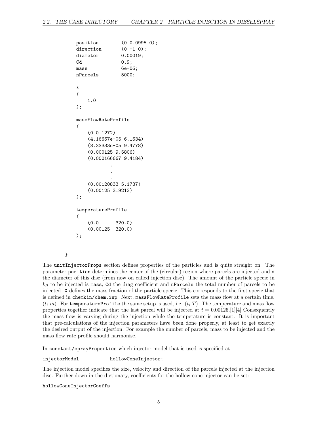```
position (0 0.0995 0);
direction (0 -1 0);diameter 0.00019;
Cd 0.9;
mass 6e-06;
nParcels 5000;
X
(
   1.0
);
massFlowRateProfile
(
   (0 0.1272)
   (4.16667e-05 6.1634)
   (8.33333e-05 9.4778)
   (0.000125 9.5806)
   (0.000166667 9.4184)
           .
           .
           .
   (0.00120833 5.1737)
   (0.00125 3.9213)
);
temperatureProfile
(
   (0.0 320.0)
   (0.00125 320.0)
);
```

```
}
```
The unitInjectorProps section defines properties of the particles and is quite straight on. The parameter position determines the center of the (circular) region where parcels are injected and d the diameter of this disc (from now on called injection disc). The amount of the particle specie in  $kg$  to be injected is mass, Cd the drag coefficient and nParcels the total number of parcels to be injected. X defines the mass fraction of the particle specie. This corresponds to the first specie that is defined in chemkin/chem.inp. Next, massFlowRateProfile sets the mass flow at a certain time,  $(t_i \hat{m})$ . For temperatureProfile the same setup is used, i.e.  $(t_i T)$ . The temperature and mass flow properties together indicate that the last parcel will be injected at  $t = 0.00125.$  [1][4] Consequently the mass flow is varying during the injection while the temperature is constant. It is important that pre-calculations of the injection parameters have been done properly, at least to get exactly the desired output of the injection. For example the number of parcels, mass to be injected and the mass flow rate profile should harmonise.

In constant/sprayProperties which injector model that is used is specified at

injectorModel hollowConeInjector;

The injection model specifies the size, velocity and direction of the parcels injected at the injection disc. Further down in the dictionary, coefficients for the hollow cone injector can be set:

hollowConeInjectorCoeffs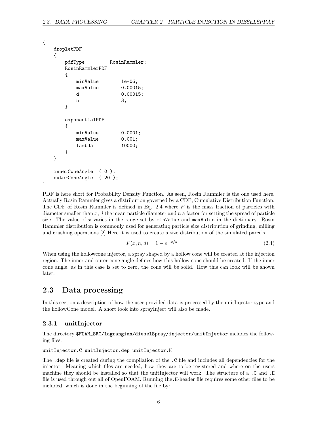```
{
   dropletPDF
   {
      pdfType RosinRammler;
      RosinRammlerPDF
      {
         minValue 1e-06;
         maxValue 0.00015;
         d 0.00015;
         n 3;
      }
      exponentialPDF
      {
         minValue 0.0001;
         maxValue 0.001;
         lambda 10000;
      }
   }
   innerConeAngle ( 0 );
   outerConeAngle ( 20 );
}
```
PDF is here short for Probability Density Function. As seen, Rosin Rammler is the one used here. Actually Rosin Rammler gives a distribution governed by a CDF, Cumulative Distribution Function. The CDF of Rosin Rammler is defined in Eq. 2.4 where  $F$  is the mass fraction of particles with diameter smaller than  $x, d$  the mean particle diameter and  $n$  a factor for setting the spread of particle size. The value of x varies in the range set by  $minValue$  and  $maxValue$  in the dictionary. Rosin Rammler distribution is commonly used for generating particle size distribution of grinding, milling and crushing operations.[2] Here it is used to create a size distribution of the simulated parcels.

$$
F(x, n, d) = 1 - e^{-x/d^n}
$$
\n(2.4)

When using the hollowcone injector, a spray shaped by a hollow cone will be created at the injection region. The inner and outer cone angle defines how this hollow cone should be created. If the inner cone angle, as in this case is set to zero, the cone will be solid. How this can look will be shown later.

## 2.3 Data processing

In this section a description of how the user provided data is processed by the unitInjector type and the hollowCone model. A short look into sprayInject will also be made.

### 2.3.1 unitInjector

The directory \$FOAM\_SRC/lagrangian/dieselSpray/injector/unitInjector includes the following files:

```
unitInjector.C unitInjector.dep unitInjector.H
```
The .dep file is created during the compilation of the .C file and includes all dependencies for the injector. Meaning which files are needed, how they are to be registered and where on the users machine they should be installed so that the unitInjector will work. The structure of a .C and .H file is used through out all of OpenFOAM. Running the.H-header file requires some other files to be included, which is done in the beginning of the file by: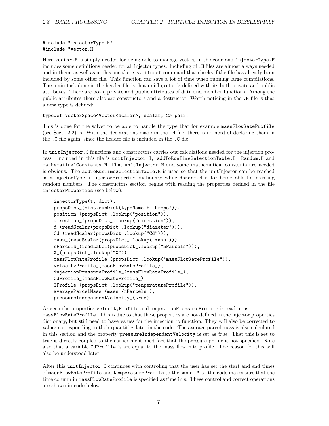#include "injectorType.H" #include "vector.H"

Here vector.H is simply needed for being able to manage vectors in the code and injectorType.H includes some definitions needed for all injector types. Including of .H files are almost always needed and in them, as well as in this one there is a ifndef command that checks if the file has already been included by some other file. This function can save a lot of time when running large compilations. The main task done in the header file is that unitInjector is defined with its both private and public attributes. There are both, private and public attributes of data and member functions. Among the public attributes there also are constructors and a destructor. Worth noticing in the .H file is that a new type is defined:

#### typedef VectorSpace<Vector<scalar>, scalar, 2> pair;

This is done for the solver to be able to handle the type that for example massFlowRateProfile (see Sect. 2.2) is. With the declarations made in the .H file, there is no need of declaring them in the .C file again, since the header file is included in the .C file.

In unitInjector.C functions and constructors carries out calculations needed for the injection process. Included in this file is unitInjector.H, addToRunTimeSelectionTable.H, Random.H and mathematicalConstants.H. That unitInjector.H and some mathematical constants are needed is obvious. The addToRunTimeSelectionTable.H is used so that the unitInjector can be reached as a injectorType in injectorProperties dictionary while Random.H is for being able for creating random numbers. The constructors section begins with reading the properties defined in the file injectorProperties (see below).

```
injectorType(t, dict),
propsDict_(dict.subDict(typeName + "Props")),
position_(propsDict_.lookup("position")),
direction_(propsDict_.lookup("direction")),
d_(readScalar(propsDict_.lookup("diameter"))),
Cd_(readScalar(propsDict_.lookup("Cd"))),
mass_(readScalar(propsDict_.lookup("mass"))),
nParcels_(readLabel(propsDict_.lookup("nParcels"))),
X_(propsDict_.lookup("X")),
massFlowRateProfile_(propsDict_.lookup("massFlowRateProfile")),
velocityProfile_(massFlowRateProfile_),
injectionPressureProfile_(massFlowRateProfile_),
CdProfile_(massFlowRateProfile_),
TProfile_(propsDict_.lookup("temperatureProfile")),
averageParcelMass_(mass_/nParcels_),
pressureIndependentVelocity_(true)
```
As seen the properties velocityProfile and injectionPressureProfile is read in as massFlowRateProfile. This is due to that these properties are not defined in the injector properties dictionary, but still need to have values for the injection to function. They will also be corrected to values corresponding to their quantities later in the code. The average parcel mass is also calculated in this section and the property pressureIndependentVelocity is set as true. That this is set to true is directly coupled to the earlier mentioned fact that the pressure profile is not specified. Note also that a variable CdProfile is set equal to the mass flow rate profile. The reason for this will also be understood later.

After this unitInjector.C continues with controling that the user has set the start and end times of massFlowRateProfile and temperatureProfile to the same. Also the code makes sure that the time column in massFlowRateProfile is specified as time in s. These control and correct operations are shown in code below.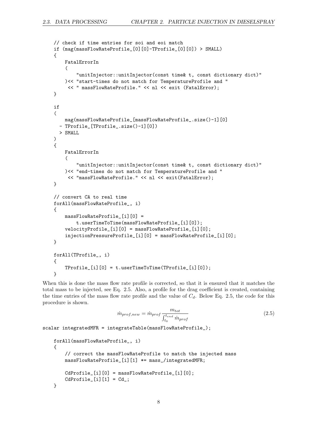```
// check if time entries for soi and eoi match
if (mag(massFlowRateProfile_[0][0]-TProfile_[0][0]) > SMALL)
{
    FatalErrorIn
    (
        "unitInjector::unitInjector(const time& t, const dictionary dict)"
    )<< "start-times do not match for TemperatureProfile and "
     << " massFlowRateProfile." << nl << exit (FatalError);
}
if
(
    mag(massFlowRateProfile_[massFlowRateProfile_.size()-1][0]
  - TProfile_[TProfile_.size()-1][0])
  > SMALL
)
{
    FatalErrorIn
    (
        "unitInjector::unitInjector(const time& t, const dictionary dict)"
    )<< "end-times do not match for TemperatureProfile and "
     << "massFlowRateProfile." << nl << exit(FatalError);
}
// convert CA to real time
forAll(massFlowRateProfile_, i)
{
    massFlowRateProfile_[i][0] =
        t.userTimeToTime(massFlowRateProfile_[i][0]);
    velocityProfile_[i][0] = massFlowRateProfile_[i][0];
    injectionPressureProfile_[i][0] = massFlowRateProfile_[i][0];
}
forAll(TProfile_, i)
{
    TProfile_[i][0] = t.userTimeToTime(TProfile_[i][0]);
}
```
When this is done the mass flow rate profile is corrected, so that it is ensured that it matches the total mass to be injected, see Eq. 2.5. Also, a profile for the drag coefficient is created, containing the time entries of the mass flow rate profile and the value of  $C_d$ . Below Eq. 2.5, the code for this procedure is shown.

$$
\dot{m}_{prof,new} = \dot{m}_{prof} \frac{m_{tot}}{\int_{t_0}^{t_{end}} \dot{m}_{prof}} \tag{2.5}
$$

scalar integratedMFR = integrateTable(massFlowRateProfile\_);

```
forAll(massFlowRateProfile_, i)
{
    // correct the massFlowRateProfile to match the injected mass
    massFlowRateProfile_[i][1] *= mass_/integratedMFR;
    CdProfile_[i][0] = massFlowRateProfile_[i][0];
    CdProfit[i][1] = Cd;
}
```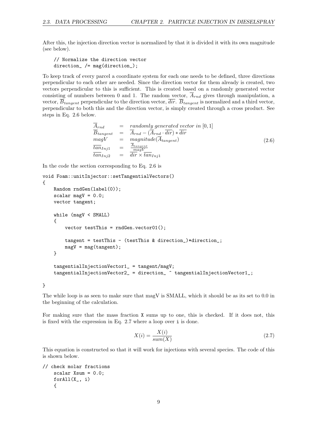After this, the injection direction vector is normalized by that it is divided it with its own magnitude (see below).

// Normalize the direction vector direction\_ /= mag(direction\_);

To keep track of every parcel a coordinate system for each one needs to be defined, three directions perpendicular to each other are needed. Since the direction vector for them already is created, two vectors perpendicular to this is sufficient. This is created based on a randomly generated vector consisting of numbers between 0 and 1. The random vector,  $\overline{A}_{rnd}$  gives through manipulation, a vector,  $\overline{B}_{tangent}$  perpendicular to the direction vector,  $\overline{dir}$ .  $\overline{B}_{tangent}$  is normalized and a third vector, perpendicular to both this and the direction vector, is simply created through a cross product. See steps in Eq. 2.6 below.

$$
\begin{array}{rcl}\nA_{rnd} & = & randomly\ generated\ vector\ in\ [0,1] \\
\overline{B}_{tangent} & = & \overline{A}_{rnd} - (\overline{A}_{rnd} \cdot \overline{dir}) * \overline{dir} \\
\overline{map}V & = & magnitude(\overline{A}_{tangent}) \\
\overline{tan}_{Inj1} & = & \frac{\overline{A}_{tangent}}{magV} \\
\overline{tan}_{Inj2} & = & \overline{dir} \times \overline{tan}_{Inj1}\n\end{array} \tag{2.6}
$$

In the code the section corresponding to Eq. 2.6 is

```
void Foam::unitInjector::setTangentialVectors()
{
   Random rndGen(label(0));
    scalar magV = 0.0;
   vector tangent;
   while (magV < SMALL)
    {
        vector testThis = rndGen-vector01();
        tangent = testThis - (testThis & direction_)*direction_;
        magV = mag(tangent);
   }
    tangentialInjectionVector1_ = tangent/magV;
    tangentialInjectionVector2_ = direction_ ^ tangentialInjectionVector1_;
```
}

The while loop is as seen to make sure that magV is SMALL, which it should be as its set to 0.0 in the beginning of the calculation.

For making sure that the mass fraction X sums up to one, this is checked. If it does not, this is fixed with the expression in Eq. 2.7 where a loop over i is done.

$$
X(i) = \frac{X(i)}{sum(X)}\tag{2.7}
$$

This equation is constructed so that it will work for injections with several species. The code of this is shown below.

```
// check molar fractions
    scalar Xsum = 0.0;
    for All(X_-, i){
```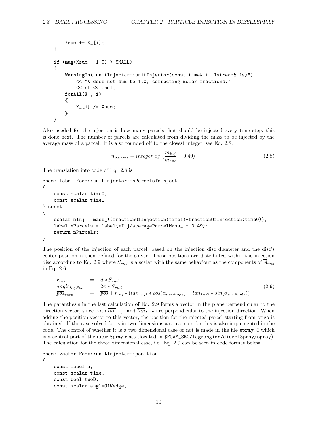```
Xsum += X_{-}[i];
}
if (mag(Xsum - 1.0) > SMALL){
    WarningIn("unitInjector::unitInjector(const time& t, Istream& is)")
        << "X does not sum to 1.0, correcting molar fractions."
        << nl << endl;
    forAll(X_, i)
    {
        X_{-}[i] /= Xsum;}
}
```
Also needed for the injection is how many parcels that should be injected every time step, this is done next. The number of parcels are calculated from dividing the mass to be injected by the average mass of a parcel. It is also rounded off to the closest integer, see Eq. 2.8.

$$
n_{parcels} = integer \ of \ (\frac{m_{inj}}{m_{ave}} + 0.49)
$$
\n(2.8)

The translation into code of Eq. 2.8 is

```
Foam::label Foam::unitInjector::nParcelsToInject
(
    const scalar time0,
    const scalar time1
) const
{
    scalar mInj = mass_*(fractionOfInjection(time1)-fractionOfInjection(time0));label nParcels = label(mInj/averageParcelMass_ + 0.49);
    return nParcels;
}
```
The position of the injection of each parcel, based on the injection disc diameter and the disc's center position is then defined for the solver. These positions are distributed within the injection disc according to Eq. 2.9 where  $S_{rnd}$  is a scalar with the same behaviour as the components of  $A_{rnd}$ in Eq. 2.6.

$$
r_{inj} = d * S_{rnd}
$$
  
angle<sub>injPos</sub> =  $2\pi * S_{rnd}$   

$$
\overline{pos}_{parc} = \overline{pos} + r_{inj} * (\overline{tan}_{Inj1} * cos(\alpha_{injAngle}) + \overline{tan}_{Inj2} * sin(\alpha_{injAngle}))
$$
 (2.9)

The paranthesis in the last calculation of Eq. 2.9 forms a vector in the plane perpendicular to the direction vector, since both  $\overline{\tan}_{Inj1}$  and  $\overline{\tan}_{Inj2}$  are perpendicular to the injection direction. When adding the position vector to this vector, the position for the injected parcel starting from origo is obtained. If the case solved for is in two dimensions a conversion for this is also implemented in the code. The control of whether it is a two dimensional case or not is made in the file spray.C which is a central part of the dieselSpray class (located in \$FOAM\_SRC/lagrangian/dieselSpray/spray). The calculation for the three dimensional case, i.e. Eq. 2.9 can be seen in code format below.

```
Foam::vector Foam::unitInjector::position
(
    const label n,
    const scalar time,
    const bool twoD,
    const scalar angleOfWedge,
```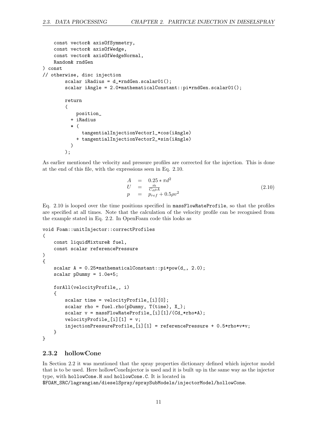```
const vector& axisOfSymmetry,
    const vector& axisOfWedge,
    const vector& axisOfWedgeNormal,
    Random& rndGen
) const
// otherwise, disc injection
        scalar iRadius = d_*rndGen.scalar01();
        scalar iAngle = 2.0*mathematicalConstant::pi*rndGen.scalar01();
        return
        (
            position_
          + iRadius
          * (
              tangentialInjectionVector1_*cos(iAngle)
            + tangentialInjectionVector2_*sin(iAngle)
          )
        );
```
As earlier mentioned the velocity and pressure profiles are corrected for the injection. This is done at the end of this file, with the expressions seen in Eq. 2.10.

$$
\begin{array}{rcl}\nA & = & 0.25 \ast \pi d^2 \\
U & = & \frac{\dot{m}}{C_d \rho A} \\
p & = & p_{ref} + 0.5 \rho v^2\n\end{array} \tag{2.10}
$$

Eq. 2.10 is looped over the time positions specified in massFlowRateProfile, so that the profiles are specified at all times. Note that the calculation of the velocity profile can be recognised from the example stated in Eq. 2.2. In OpenFoam code this looks as

```
void Foam::unitInjector::correctProfiles
(
    const liquidMixture& fuel,
    const scalar referencePressure
)
{
    scalar A = 0.25*mathematicalConstant::pi*pow(d_1, 2.0);scalar pDummy = 1.0e+5;
    forAll(velocityProfile_, i)
    {
        scalar time = velocityProfile_[i][0];
        scalar rho = fuel.rho(pDummy, T(\text{time}), X<sub>-</sub>);
        scalar v = massFlowRateProfile_[i][1]/(Cd_*rho*A);
        velocityProfile_[i][1] = v;
        injectionPressureProfile_[i][1] = referencePressure + 0.5*rho*v*v;
    }
}
```
### 2.3.2 hollowCone

In Section 2.2 it was mentioned that the spray properties dictionary defined which injector model that is to be used. Here hollowConeInjector is used and it is built up in the same way as the injector type, with hollowCone.H and hollowCone.C. It is located in

\$FOAM\_SRC/lagrangian/dieselSpray/spraySubModels/injectorModel/hollowCone.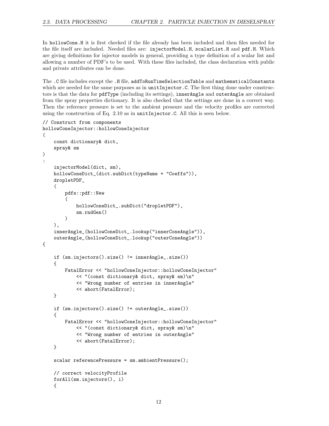In hollowCone.H it is first checked if the file already has been included and then files needed for the file itself are included. Needed files are: injectorModel.H, scalarList.H and pdf.H. Which are giving definitions for injector models in general, providing a type definition of a scalar list and allowing a number of PDF's to be used. With these files included, the class declaration with public and private attributes can be done.

The .C file includes except the .H file, addToRunTimeSelectionTable and mathematicalConstants which are needed for the same purposes as in unitInjector.C. The first thing done under constructors is that the data for pdfType (including its settings), innerAngle and outerAngle are obtained from the spray properties dictionary. It is also checked that the settings are done in a correct way. Then the reference pressure is set to the ambient pressure and the velocity profiles are corrected using the construction of Eq.  $2.10$  as in unitInjector.C. All this is seen below.

```
// Construct from components
hollowConeInjector::hollowConeInjector
(
    const dictionary& dict,
    spray& sm
\mathcal{L}:
    injectorModel(dict, sm),
    hollowConeDict_(dict.subDict(typeName + "Coeffs")),
    dropletPDF_
    (
        pdfs::pdf::New
        (
            hollowConeDict_.subDict("dropletPDF"),
            sm.rndGen()
        )
    ),
    innerAngle_(hollowConeDict_.lookup("innerConeAngle")),
    outerAngle_(hollowConeDict_.lookup("outerConeAngle"))
{
    if (sm.injectors().size() != innerAngle_.size())
    {
        FatalError << "hollowConeInjector::hollowConeInjector"
            << "(const dictionary& dict, spray& sm)\n"
            << "Wrong number of entries in innerAngle"
            << abort(FatalError);
    }
    if (sm.injectors().size() != outerAngle_.size())
    {
        FatalError << "hollowConeInjector::hollowConeInjector"
            << "(const dictionary& dict, spray& sm)\n"
            << "Wrong number of entries in outerAngle"
            << abort(FatalError);
    }
    scalar referencePressure = sm.ambientPressure();
    // correct velocityProfile
    forAll(sm.injectors(), i)
    {
```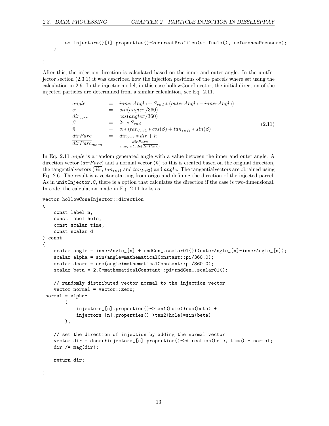```
sm.injectors()[i].properties()->correctProfiles(sm.fuels(), referencePressure);
}
```
}

After this, the injection direction is calculated based on the inner and outer angle. In the unitInjector section (2.3.1) it was described how the injection positions of the parcels where set using the calculation in 2.9. In the injector model, in this case hollowConeInjector, the initial direction of the injected particles are determined from a similar calculation, see Eq. 2.11.

$$
angle = innerAngle + S_{rnd} * (outerAngle - innerAngle)
$$
  
\n
$$
\alpha = sin(angle \pi / 360)
$$
  
\n
$$
dir_{corr} = cos(angle \pi / 360)
$$
  
\n
$$
\beta = 2\pi * S_{rnd}
$$
  
\n
$$
\frac{\hat{n}}{dirParc} = \alpha * (tan_{Inj1} * cos(\beta) + tan_{Inj2} * sin(\beta)
$$
  
\n
$$
\frac{\partial}{\partial irParc}_{norm} = \frac{dir_{Parc}}{magnitude(\overline{dirParc})}
$$
\n(2.11)

In Eq. 2.11 *angle* is a random generated angle with a value between the inner and outer angle. A direction vector ( $\overline{dirParc}$ ) and a normal vector ( $\hat{n}$ ) to this is created based on the original direction, the tangentialvectors  $dir, \overline{tan}_{Inj1}$  and  $\overline{tan}_{Inj2}$  and angle. The tangentialvectors are obtained using Eq. 2.6. The result is a vector starting from origo and defining the direction of the injected parcel. As in unitInjector.C, there is a option that calculates the direction if the case is two-dimensional. In code, the calculation made in Eq. 2.11 looks as

```
vector hollowConeInjector::direction
```

```
(
    const label n,
    const label hole,
    const scalar time,
    const scalar d
) const
{
    scalar angle = innerAngle_[n] + rndGen_.scalar01()*(outerAngle_[n]-innerAngle_[n]);
    scalar alpha = sin(angle*mathematicalConstant::pi/360.0);
    scalar dcorr = cos(angle*mathematicalConstant::pi/360.0);
    scalar beta = 2.0*mathematicalConstant::pi*rndGen_.scalar01();
    // randomly distributed vector normal to the injection vector
    vector normal = vector::zero;
 normal = alpha*
        (
            injectors_[n].properties()->tan1(hole)*cos(beta) +
            injectors_[n].properties()->tan2(hole)*sin(beta)
        );
    // set the direction of injection by adding the normal vector
    vector dir = dcorr*injectors_[n].properties()->direction(hole, time) + normal;
    dir /=\text{mag}(dir);
    return dir;
}
```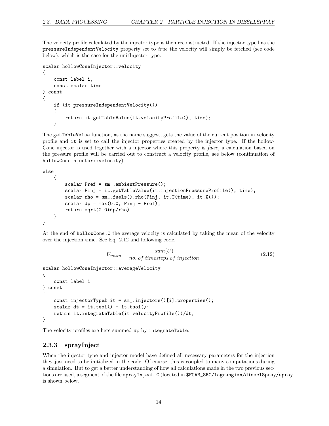The velocity profile calculated by the injector type is then reconstructed. If the injector type has the pressureIndependentVelocity property set to true the velocity will simply be fetched (see code below), which is the case for the unitInjector type.

```
scalar hollowConeInjector::velocity
(
    const label i,
    const scalar time
) const
{
    if (it.pressureIndependentVelocity())
    {
        return it.getTableValue(it.velocityProfile(), time);
    }
```
The getTableValue function, as the name suggest, gets the value of the current position in velocity profile and it is set to call the injector properties created by the injector type. If the hollow-Cone injector is used together with a injector where this property is *false*, a calculation based on the pressure profile will be carried out to construct a velocity profile, see below (continuation of hollowConeInjector::velocity).

else

```
{
        scalar Pref = sm_.ambientPressure();
        scalar Pinj = it.getTableValue(it.injectionPressureProfile(), time);
        scalar rho = sm_.fuels().rho(Pinj, it.T(time), it.X());
        scalar dp = max(0.0, Pinj - Pref);return sqrt(2.0*dp/rho);
    }
}
```
At the end of hollowCone.C the average velocity is calculated by taking the mean of the velocity over the injection time. See Eq. 2.12 and following code.

$$
U_{mean} = \frac{sum(U)}{no. of \ timesteps \ of \ injection} \tag{2.12}
$$

```
scalar hollowConeInjector::averageVelocity
(
    const label i
) const
{
    const injectorType& it = sm_.injectors()[i].properties();
    scalar dt = it.teoi() - it.tsoi();return it.integrateTable(it.velocityProfile())/dt;
}
```
The velocity profiles are here summed up by integrateTable.

### 2.3.3 sprayInject

When the injector type and injector model have defined all necessary parameters for the injection they just need to be initialized in the code. Of course, this is coupled to many computations during a simulation. But to get a better understanding of how all calculations made in the two previous sections are used, a segment of the file sprayInject.C (located in \$FOAM\_SRC/lagrangian/dieselSpray/spray is shown below.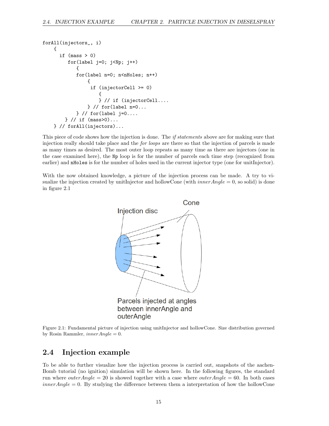```
forAll(injectors_, i)
    {
      if (mass > 0)for(label j=0; j<Np; j++)
            {
            for(label n=0; n<nHoles; n++)
                {
                 if (injectorCell >= 0)
                     {
                     } // if (injectorCell....
                } // for(label n=0...
            } // for(label j=0....
        } // if (mass>0)...
    } // forAll(injectors)...
```
This piece of code shows how the injection is done. The *if statements* above are for making sure that injection really should take place and the for loops are there so that the injection of parcels is made as many times as desired. The most outer loop repeats as many time as there are injectors (one in the case examined here), the Np loop is for the number of parcels each time step (recognized from earlier) and **nHoles** is for the number of holes used in the current injector type (one for unitInjector).

With the now obtained knowledge, a picture of the injection process can be made. A try to visualize the injection created by unitInjector and hollowCone (with  $innerAngle = 0$ , so solid) is done in figure 2.1



Figure 2.1: Fundamental picture of injection using unitInjector and hollowCone. Size distribution governed by Rosin Rammler,  $innerAngle = 0$ .

## 2.4 Injection example

To be able to further visualize how the injection process is carried out, snapshots of the aachen-Bomb tutorial (no ignition) simulation will be shown here. In the following figures, the standard run where *outerAngle* = 20 is showed together with a case where *outerAngle* = 60. In both cases  $innerAngle = 0$ . By studying the difference between them a interpretation of how the hollowCone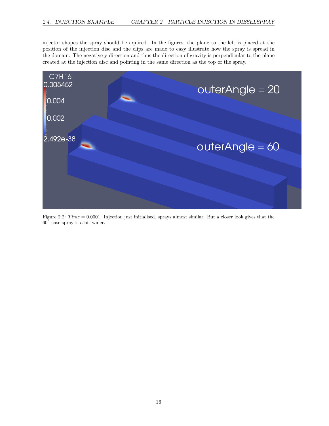injector shapes the spray should be aquired. In the figures, the plane to the left is placed at the position of the injection disc and the clips are made to easy illustrate how the spray is spread in the domain. The negative y-direction and thus the direction of gravity is perpendicular to the plane created at the injection disc and pointing in the same direction as the top of the spray.



Figure 2.2:  $Time = 0.0001$ . Injection just initialised, sprays almost similar. But a closer look gives that the 60◦ case spray is a bit wider.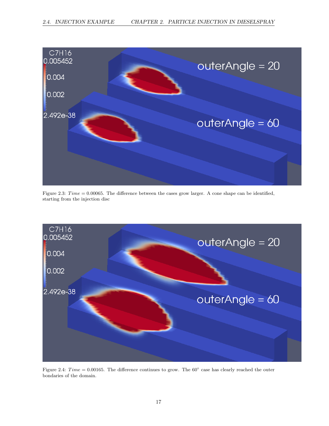

Figure 2.3:  $Time = 0.00065$ . The difference between the cases grow larger. A cone shape can be identified, starting from the injection disc



Figure 2.4: Time = 0.00165. The difference continues to grow. The  $60^{\circ}$  case has clearly reached the outer bondaries of the domain.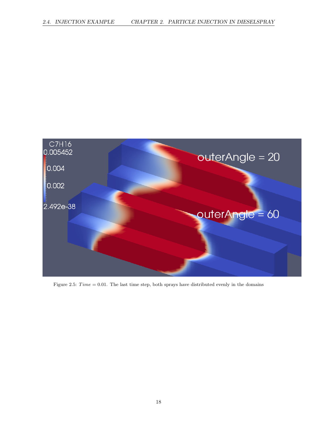

Figure 2.5:  $Time = 0.01$ . The last time step, both sprays have distributed evenly in the domains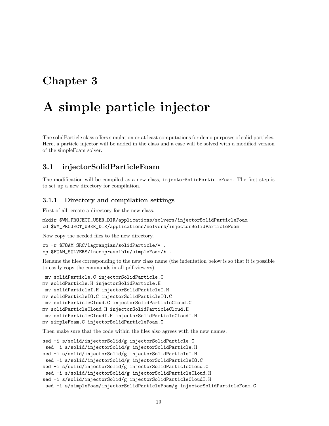## Chapter 3

# A simple particle injector

The solidParticle class offers simulation or at least computations for demo purposes of solid particles. Here, a particle injector will be added in the class and a case will be solved with a modified version of the simpleFoam solver.

## 3.1 injectorSolidParticleFoam

The modification will be compiled as a new class, injectorSolidParticleFoam. The first step is to set up a new directory for compilation.

#### 3.1.1 Directory and compilation settings

First of all, create a directory for the new class.

```
mkdir $WM_PROJECT_USER_DIR/applications/solvers/injectorSolidParticleFoam
cd $WM_PROJECT_USER_DIR/applications/solvers/injectorSolidParticleFoam
```
Now copy the needed files to the new directory.

```
cp -r $FOAM_SRC/lagrangian/solidParticle/* .
cp $FOAM_SOLVERS/incompressible/simpleFoam/* .
```
Rename the files corresponding to the new class name (the indentation below is so that it is possible to easily copy the commands in all pdf-viewers).

```
mv solidParticle.C injectorSolidParticle.C
mv solidParticle.H injectorSolidParticle.H
 mv solidParticleI.H injectorSolidParticleI.H
mv solidParticleIO.C injectorSolidParticleIO.C
 mv solidParticleCloud.C injectorSolidParticleCloud.C
mv solidParticleCloud.H injectorSolidParticleCloud.H
 mv solidParticleCloudI.H injectorSolidParticleCloudI.H
mv simpleFoam.C injectorSolidParticleFoam.C
```
Then make sure that the code within the files also agrees with the new names.

```
sed -i s/solid/injectorSolid/g injectorSolidParticle.C
sed -i s/solid/injectorSolid/g injectorSolidParticle.H
sed -i s/solid/injectorSolid/g injectorSolidParticleI.H
sed -i s/solid/injectorSolid/g injectorSolidParticleIO.C
sed -i s/solid/injectorSolid/g injectorSolidParticleCloud.C
sed -i s/solid/injectorSolid/g injectorSolidParticleCloud.H
sed -i s/solid/injectorSolid/g injectorSolidParticleCloudI.H
sed -i s/simpleFoam/injectorSolidParticleFoam/g injectorSolidParticleFoam.C
```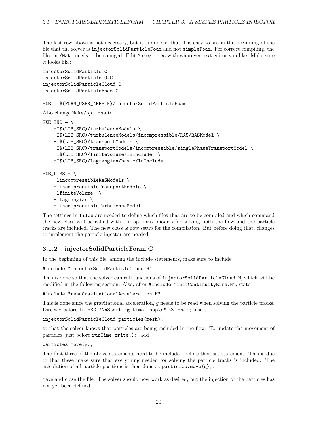The last row above is not neccesary, but it is done so that it is easy to see in the beginning of the file that the solver is injectorSolidParticleFoam and not simpleFoam. For correct compiling, the files in /Make needs to be changed. Edit Make/files with whatever text editor you like. Make sure it looks like:

```
injectorSolidParticle.C
injectorSolidParticleIO.C
injectorSolidParticleCloud.C
injectorSolidParticleFoam.C
```
#### EXE = \$(FOAM\_USER\_APPBIN)/injectorSolidParticleFoam

```
Also change Make/options to
```

```
EXE_INC = \setminus-I$(LIB_SRC)/turbulenceModels \
    -I$(LIB_SRC)/turbulenceModels/incompressible/RAS/RASModel \
    -I$(LIB_SRC)/transportModels \
    -I$(LIB_SRC)/transportModels/incompressible/singlePhaseTransportModel \
    -I$(LIB_SRC)/finiteVolume/lnInclude \
    -I$(LIB_SRC)/lagrangian/basic/lnInclude
EXE_LIBS = \ \-lincompressibleRASModels \
```

```
-lincompressibleTransportModels \
-lfiniteVolume \
-llagrangian \
-lincompressibleTurbulenceModel
```
The settings in files are needed to define which files that are to be compiled and which command the new class will be called with. In options, models for solving both the flow and the particle tracks are included. The new class is now setup for the compilation. But before doing that, changes to implement the particle injector are needed.

### 3.1.2 injectorSolidParticleFoam.C

In the beginning of this file, among the include statements, make sure to include

```
#include "injectorSolidParticleCloud.H"
```
This is done so that the solver can call functions of injectorSolidParticleCloud.H, which will be modified in the following section. Also, after #include "initContinuityErrs.H", state

#include "readGravitationalAcceleration.H"

This is done since the gravitational acceleration, g needs to be read when solving the particle tracks. Directly before Info<< "\nStarting time loop\n" << endl; insert

injectorSolidParticleCloud particles(mesh);

so that the solver knows that particles are being included in the flow. To update the movement of particles, just before runTime.write();, add

#### particles.move(g);

The first three of the above statements need to be included before this last statement. This is due to that these make sure that everything needed for solving the particle tracks is included. The calculation of all particle positions is then done at  $particles.\move(g)$ ;

Save and close the file. The solver should now work as desired, but the injection of the particles has not yet been defined.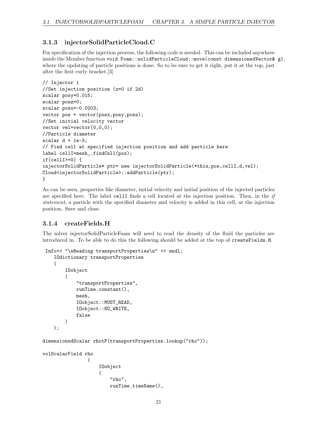### 3.1.3 injectorSolidParticleCloud.C

For specification of the injection process, the following code is needed. This can be included anywhere inside the Member function void Foam::solidParticleCloud::move(const dimensionedVector& g), where the updating of particle positions is done. So to be sure to get it right, put it at the top, just after the first curly bracket.[3]

```
// Injector 1
//Set injection position (z=0 if 2d)
scalar posy=0.015;
scalar posz=0;
scalar posx=-0.0203;
vector pos = vector(posx,posy,posz);
//Set initial velocity vector
vector vel=vector(0,0,0);
//Particle diameter
scalar d = 1e-3;
// Find cell at specified injection position and add particle here
label cellI=mesh_.findCell(pos);
if(cellI>=0) {
injectorSolidParticle* ptr= new injectorSolidParticle(*this,pos,cellI,d,vel);
Cloud<injectorSolidParticle>::addParticle(ptr);
}
```
As can be seen, properties like diameter, initial velocity and initial position of the injected particles are specified here. The label cellI finds a cell located at the injection position. Then, in the  $if$ statement, a particle with the specified diameter and velocity is added in this cell, at the injection position. Save and close.

### 3.1.4 createFields.H

The solver injectorSolidParticleFoam will need to read the density of the fluid the particles are introduced in. To be able to do this the following should be added at the top of createFields.H.

```
Info<< "\nReading transportProperties\n" << endl;
    IOdictionary transportProperties
    (
        IOobject
        (
            "transportProperties",
            runTime.constant(),
            mesh,
            IOobject::MUST_READ,
            IOobject::NO_WRITE,
            false
        )
    );
dimensionedScalar rhotP(transportProperties.lookup("rho"));
volScalarField rho
```

```
(
    IOobject
    (
        "rho",
        runTime.timeName(),
```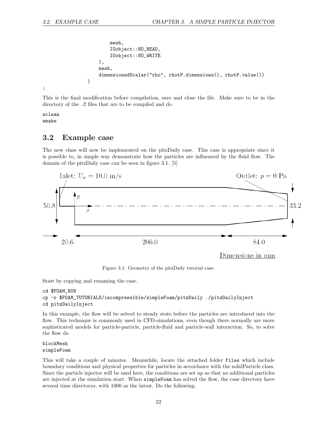```
mesh,
        IOobject::NO_READ,
        IOobject::NO_WRITE
    ),
    mesh,
    dimensionedScalar("rho", rhotP.dimensions(), rhotP.value())
)
```
;

This is the final modification before compilation, save and close the file. Make sure to be in the directory of the .C files that are to be compiled and do

wclean wmake

## 3.2 Example case

The new class will now be implemented on the pitzDaily case. This case is appropriate since it is possible to, in simple way demonstrate how the particles are influenced by the fluid flow. The domain of the pitzDaily case can be seen in figure 3.1. [5]



Figure 3.1: Geometry of the pitzDaily tutorial case.

Start by copying and renaming the case.

```
cd $FOAM_RUN
cp -r $FOAM_TUTORIALS/incompressible/simpleFoam/pitzDaily ./pitzDailyInject
cd pitzDailyInject
```
In this example, the flow will be solved to steady state before the particles are introduced into the flow. This technique is commonly used in CFD-simulations, even though there normally are more sophisticated models for particle-particle, particle-fluid and particle-wall interaction. So, to solve the flow do

#### blockMesh simpleFoam

This will take a couple of minutes. Meanwhile, locate the attached folder files which include boundary conditions and physical properties for particles in accordance with the solidParticle class. Since the particle injector will be used here, the conditions are set up so that no additional particles are injected at the simulation start. When simpleFoam has solved the flow, the case directory have several time directorys, with 1000 as the latest. Do the following.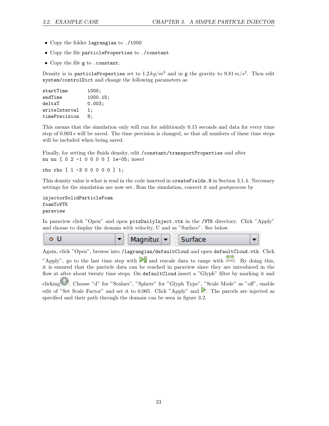- Copy the folder lagrangian to ./1000
- Copy the file particleProperties to ./constant
- Copy the file g to .constant.

Density is in particleProperties set to  $1.2\,kg/m^3$  and in g the gravity to  $9.81\,m/s^2.$  Then edit system/controlDict and change the following parameters as

| startTime     | 1000:    |
|---------------|----------|
| endTime       | 1000.15; |
| deltaT        | 0.003:   |
| writeInterval | 1:       |
| timePrecision | 8:       |

This means that the simulation only will run for additionaly 0.15 seconds and data for every time step of 0.003 s will be saved. The time precision is changed, so that all numbers of these time steps will be included when being saved.

Finally, for setting the fluids density, edit /constant/transportProperties and after nu nu [ 0 2 -1 0 0 0 0 ] 1e-05; insert

rho rho [ 1 -3 0 0 0 0 0 ] 1;

This density value is what is read in the code inserted in createFields.H in Section 3.1.4. Necessary settings for the simulation are now set. Run the simulation, convert it and postprocess by

```
injectorSolidParticleFoam
foamToVTK
paraview
```
In paraview click "Open" and open pitzDailyInject.vtk in the /VTK directory. Click "Apply" and choose to display the domain with velocity, U and as "Surface". See below.



Again, click "Open", browse into /lagrangian/defaultCloud and open defaultCloud.vtk. Click

"Apply", go to the last time step with  $\blacksquare$  and rescale data to range with  $\blacksquare$ . By doing this, it is ensured that the particle data can be reached in paraview since they are introduced in the flow at after about twenty time steps. On defaultCloud insert a "Glyph" filter by marking it and

clicking . Choose "d" for "Scalars", "Sphere" for "Glyph Type", "Scale Mode" as "off", enable edit of "Set Scale Factor" and set it to 0.005. Click "Apply" and  $\blacktriangleright$ . The parcels are injected as specified and their path through the domain can be seen in figure 3.2.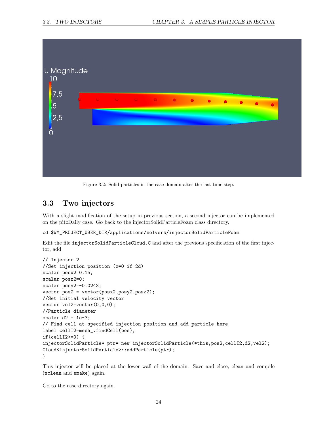

Figure 3.2: Solid particles in the case domain after the last time step.

## 3.3 Two injectors

With a slight modification of the setup in previous section, a second injector can be implemented on the pitzDaily case. Go back to the injectorSolidParticleFoam class directory.

cd \$WM\_PROJECT\_USER\_DIR/applications/solvers/injectorSolidParticleFoam

Edit the file injectorSolidParticleCloud.C and after the previous specification of the first injector, add

```
// Injector 2
//Set injection position (z=0 if 2d)
scalar posx2=0.15;
scalar posz2=0;
scalar posy2=-0.0243;
vector pos2 = vector(posx2,posy2,posz2);
//Set initial velocity vector
vector vel2=vector(0,0,0);
//Particle diameter
scalar d2 = 1e-3;
// Find cell at specified injection position and add particle here
label cellI2=mesh_.findCell(pos);
if(cellI2>=0) {
injectorSolidParticle* ptr= new injectorSolidParticle(*this,pos2,cellI2,d2,vel2);
Cloud<injectorSolidParticle>::addParticle(ptr);
}
```
This injector will be placed at the lower wall of the domain. Save and close, clean and compile (wclean and wmake) again.

Go to the case directory again.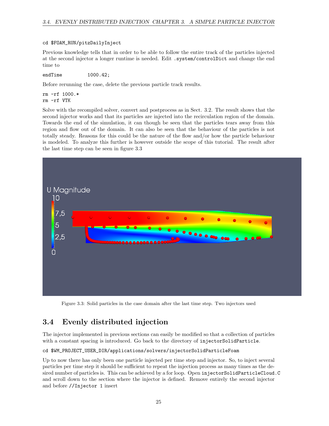#### cd \$FOAM\_RUN/pitzDailyInject

Previous knowledge tells that in order to be able to follow the entire track of the particles injected at the second injector a longer runtime is needed. Edit . system/controlDict and change the end time to

```
endTime 1000.42;
```
Before rerunning the case, delete the previous particle track results.

rm -rf 1000.\* rm -rf VTK

Solve with the recompiled solver, convert and postprocess as in Sect. 3.2. The result shows that the second injector works and that its particles are injected into the recirculation region of the domain. Towards the end of the simulation, it can though be seen that the particles tears away from this region and flow out of the domain. It can also be seen that the behaviour of the particles is not totally steady. Reasons for this could be the nature of the flow and/or how the particle behaviour is modeled. To analyze this further is however outside the scope of this tutorial. The result after the last time step can be seen in figure 3.3



Figure 3.3: Solid particles in the case domain after the last time step. Two injectors used

## 3.4 Evenly distributed injection

The injector implemented in previous sections can easily be modified so that a collection of particles with a constant spacing is introduced. Go back to the directory of injectorSolidParticle.

### cd \$WM\_PROJECT\_USER\_DIR/applications/solvers/injectorSolidParticleFoam

Up to now there has only been one particle injected per time step and injector. So, to inject several particles per time step it should be sufficient to repeat the injection process as many times as the desired number of particles is. This can be achieved by a for loop. Open injectorSolidParticleCloud.C and scroll down to the section where the injector is defined. Remove entirely the second injector and before //Injector 1 insert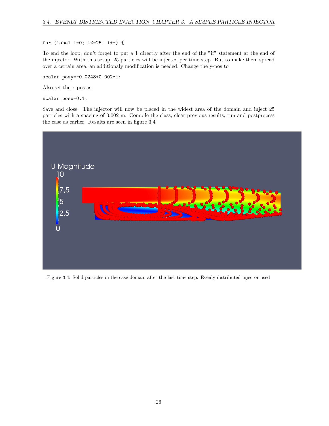for (label i=0; i<=25; i++) {

To end the loop, don't forget to put a } directly after the end of the "if" statement at the end of the injector. With this setup, 25 particles will be injected per time step. But to make them spread over a certain area, an additionaly modification is needed. Change the y-pos to

scalar posy=-0.0248+0.002\*i;

Also set the x-pos as

scalar posx=0.1;

Save and close. The injector will now be placed in the widest area of the domain and inject 25 particles with a spacing of 0.002 m. Compile the class, clear previous results, run and postprocess the case as earlier. Results are seen in figure 3.4



Figure 3.4: Solid particles in the case domain after the last time step. Evenly distributed injector used